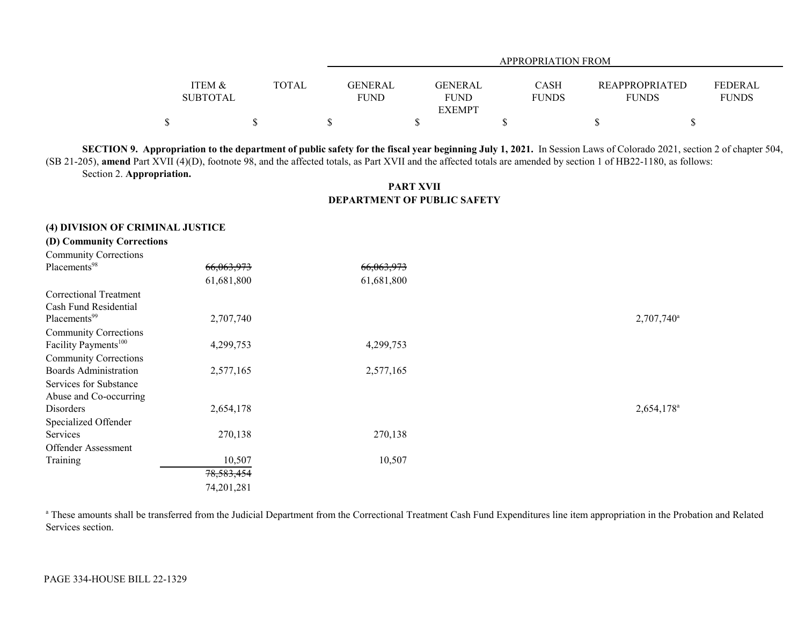|                 |              | APPROPRIATION FROM |                |  |              |                       |                |  |  |  |
|-----------------|--------------|--------------------|----------------|--|--------------|-----------------------|----------------|--|--|--|
|                 |              |                    |                |  |              |                       |                |  |  |  |
| ITEM &          | <b>TOTAL</b> | GENERAL            | <b>GENERAL</b> |  | <b>CASH</b>  | <b>REAPPROPRIATED</b> | <b>FEDERAL</b> |  |  |  |
| <b>SUBTOTAL</b> |              | <b>FUND</b>        | <b>FUND</b>    |  | <b>FUNDS</b> | <b>FUNDS</b>          | <b>FUNDS</b>   |  |  |  |
|                 |              |                    | <b>EXEMPT</b>  |  |              |                       |                |  |  |  |
|                 |              |                    |                |  |              |                       |                |  |  |  |

**SECTION 9. Appropriation to the department of public safety for the fiscal year beginning July 1, 2021.** In Session Laws of Colorado 2021, section 2 of chapter 504, (SB 21-205), **amend** Part XVII (4)(D), footnote 98, and the affected totals, as Part XVII and the affected totals are amended by section 1 of HB22-1180, as follows: Section 2. **Appropriation.**

## **PART XVIIDEPARTMENT OF PUBLIC SAFETY**

## **(4) DIVISION OF CRIMINAL JUSTICE**

**(D) Community Corrections**

| <b>Community Corrections</b>     |              |            |                        |
|----------------------------------|--------------|------------|------------------------|
| Placements <sup>98</sup>         | 66,063,973   | 66,063,973 |                        |
|                                  | 61,681,800   | 61,681,800 |                        |
| Correctional Treatment           |              |            |                        |
| Cash Fund Residential            |              |            |                        |
| Placements <sup>99</sup>         | 2,707,740    |            | 2,707,740 <sup>a</sup> |
| <b>Community Corrections</b>     |              |            |                        |
| Facility Payments <sup>100</sup> | 4,299,753    | 4,299,753  |                        |
| <b>Community Corrections</b>     |              |            |                        |
| <b>Boards Administration</b>     | 2,577,165    | 2,577,165  |                        |
| Services for Substance           |              |            |                        |
| Abuse and Co-occurring           |              |            |                        |
| Disorders                        | 2,654,178    |            | 2,654,178 <sup>a</sup> |
| Specialized Offender             |              |            |                        |
| Services                         | 270,138      | 270,138    |                        |
| <b>Offender Assessment</b>       |              |            |                        |
| Training                         | 10,507       | 10,507     |                        |
|                                  | 78, 583, 454 |            |                        |
|                                  | 74,201,281   |            |                        |

<sup>a</sup> These amounts shall be transferred from the Judicial Department from the Correctional Treatment Cash Fund Expenditures line item appropriation in the Probation and Related Services section.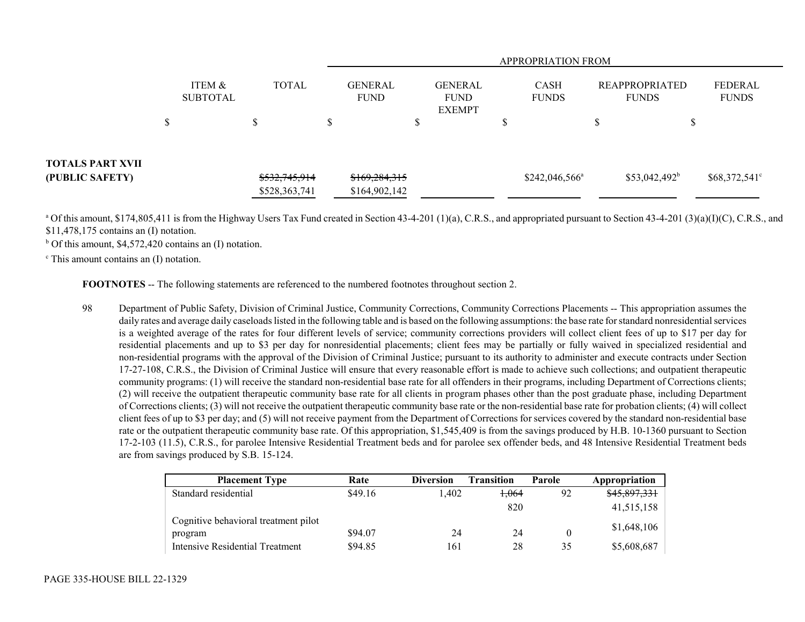|                                     |    |                           |    |               |   | <b>APPROPRIATION FROM</b>     |        |                                                |    |                             |        |                                       |                                |  |
|-------------------------------------|----|---------------------------|----|---------------|---|-------------------------------|--------|------------------------------------------------|----|-----------------------------|--------|---------------------------------------|--------------------------------|--|
|                                     |    | ITEM &<br><b>SUBTOTAL</b> |    | <b>TOTAL</b>  |   | <b>GENERAL</b><br><b>FUND</b> |        | <b>GENERAL</b><br><b>FUND</b><br><b>EXEMPT</b> |    | <b>CASH</b><br><b>FUNDS</b> |        | <b>REAPPROPRIATED</b><br><b>FUNDS</b> | <b>FEDERAL</b><br><b>FUNDS</b> |  |
|                                     | \$ |                           | \$ |               | D |                               | Φ<br>Φ |                                                | ۵D |                             | Φ<br>ل |                                       |                                |  |
| TOTALS PART XVII<br>(PUBLIC SAFETY) |    |                           |    | \$532,745,914 |   | \$169,284,315                 |        |                                                |    | $$242,046,566^{\circ}$      |        | $$53,042,492^b$                       | $$68,372,541^{\circ}$          |  |
|                                     |    |                           |    | \$528,363,741 |   | \$164,902,142                 |        |                                                |    |                             |        |                                       |                                |  |

<sup>a</sup> Of this amount, \$174,805,411 is from the Highway Users Tax Fund created in Section 43-4-201 (1)(a), C.R.S., and appropriated pursuant to Section 43-4-201 (3)(a)(I)(C), C.R.S., and \$11,478,175 contains an (I) notation.

 $<sup>b</sup>$  Of this amount, \$4,572,420 contains an (I) notation.</sup>

 $\textdegree$  This amount contains an (I) notation.

**FOOTNOTES** -- The following statements are referenced to the numbered footnotes throughout section 2.

98 Department of Public Safety, Division of Criminal Justice, Community Corrections, Community Corrections Placements -- This appropriation assumes the daily rates and average daily caseloads listed in the following table and is based on the following assumptions: the base rate for standard nonresidential services is a weighted average of the rates for four different levels of service; community corrections providers will collect client fees of up to \$17 per day for residential placements and up to \$3 per day for nonresidential placements; client fees may be partially or fully waived in specialized residential and non-residential programs with the approval of the Division of Criminal Justice; pursuant to its authority to administer and execute contracts under Section 17-27-108, C.R.S., the Division of Criminal Justice will ensure that every reasonable effort is made to achieve such collections; and outpatient therapeutic community programs: (1) will receive the standard non-residential base rate for all offenders in their programs, including Department of Corrections clients; (2) will receive the outpatient therapeutic community base rate for all clients in program phases other than the post graduate phase, including Department of Corrections clients; (3) will not receive the outpatient therapeutic community base rate or the non-residential base rate for probation clients; (4) will collect client fees of up to \$3 per day; and (5) will not receive payment from the Department of Corrections for services covered by the standard non-residential base rate or the outpatient therapeutic community base rate. Of this appropriation, \$1,545,409 is from the savings produced by H.B. 10-1360 pursuant to Section 17-2-103 (11.5), C.R.S., for parolee Intensive Residential Treatment beds and for parolee sex offender beds, and 48 Intensive Residential Treatment beds are from savings produced by S.B. 15-124.

| <b>Placement Type</b>                | Rate    | <b>Diversion</b> | Transition | Parole | Appropriation |
|--------------------------------------|---------|------------------|------------|--------|---------------|
| Standard residential                 | \$49.16 | 1.402            | 1.064      | 92     | \$45,897,331  |
|                                      |         |                  | 820        |        | 41,515,158    |
| Cognitive behavioral treatment pilot |         |                  |            |        | \$1,648,106   |
| program                              | \$94.07 | 24               | 24         |        |               |
| Intensive Residential Treatment      | \$94.85 | 161              | 28         | 35     | \$5,608,687   |